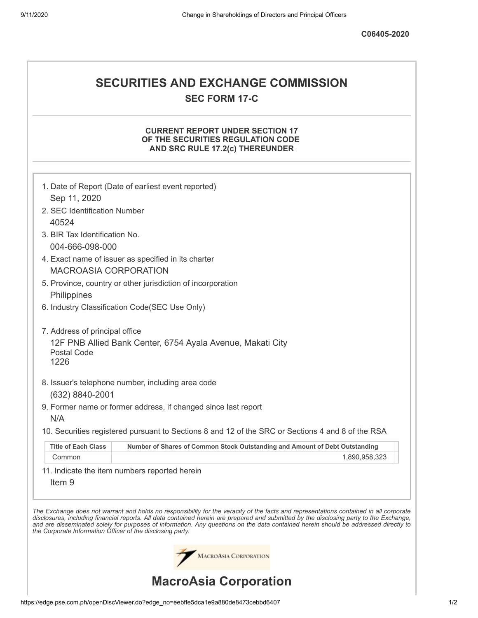# **SECURITIES AND EXCHANGE COMMISSION SEC FORM 17-C**

## **CURRENT REPORT UNDER SECTION 17 OF THE SECURITIES REGULATION CODE AND SRC RULE 17.2(c) THEREUNDER**

|                                                            | 1. Date of Report (Date of earliest event reported)                                                                                                                                                                                                                                                                                                                                                                      |
|------------------------------------------------------------|--------------------------------------------------------------------------------------------------------------------------------------------------------------------------------------------------------------------------------------------------------------------------------------------------------------------------------------------------------------------------------------------------------------------------|
| Sep 11, 2020                                               |                                                                                                                                                                                                                                                                                                                                                                                                                          |
| 2. SEC Identification Number                               |                                                                                                                                                                                                                                                                                                                                                                                                                          |
| 40524                                                      |                                                                                                                                                                                                                                                                                                                                                                                                                          |
| 3. BIR Tax Identification No.                              |                                                                                                                                                                                                                                                                                                                                                                                                                          |
| 004-666-098-000                                            |                                                                                                                                                                                                                                                                                                                                                                                                                          |
| <b>MACROASIA CORPORATION</b>                               | 4. Exact name of issuer as specified in its charter                                                                                                                                                                                                                                                                                                                                                                      |
|                                                            | 5. Province, country or other jurisdiction of incorporation                                                                                                                                                                                                                                                                                                                                                              |
| Philippines                                                |                                                                                                                                                                                                                                                                                                                                                                                                                          |
|                                                            | 6. Industry Classification Code(SEC Use Only)                                                                                                                                                                                                                                                                                                                                                                            |
| 7. Address of principal office                             |                                                                                                                                                                                                                                                                                                                                                                                                                          |
| Postal Code<br>1226                                        | 12F PNB Allied Bank Center, 6754 Ayala Avenue, Makati City                                                                                                                                                                                                                                                                                                                                                               |
|                                                            | 8. Issuer's telephone number, including area code                                                                                                                                                                                                                                                                                                                                                                        |
| (632) 8840-2001                                            |                                                                                                                                                                                                                                                                                                                                                                                                                          |
|                                                            | 9. Former name or former address, if changed since last report                                                                                                                                                                                                                                                                                                                                                           |
| N/A                                                        |                                                                                                                                                                                                                                                                                                                                                                                                                          |
|                                                            | 10. Securities registered pursuant to Sections 8 and 12 of the SRC or Sections 4 and 8 of the RSA                                                                                                                                                                                                                                                                                                                        |
| <b>Title of Each Class</b>                                 | Number of Shares of Common Stock Outstanding and Amount of Debt Outstanding                                                                                                                                                                                                                                                                                                                                              |
| Common                                                     | 1,890,958,323                                                                                                                                                                                                                                                                                                                                                                                                            |
| Item <sub>9</sub>                                          | 11. Indicate the item numbers reported herein                                                                                                                                                                                                                                                                                                                                                                            |
| the Corporate Information Officer of the disclosing party. | The Exchange does not warrant and holds no responsibility for the veracity of the facts and representations contained in all corporate<br>disclosures, including financial reports. All data contained herein are prepared and submitted by the disclosing party to the Exchange,<br>and are disseminated solely for purposes of information. Any questions on the data contained herein should be addressed directly to |
|                                                            | MACROASIA CORPORATION                                                                                                                                                                                                                                                                                                                                                                                                    |
|                                                            | <b>MacroAsia Corporation</b>                                                                                                                                                                                                                                                                                                                                                                                             |